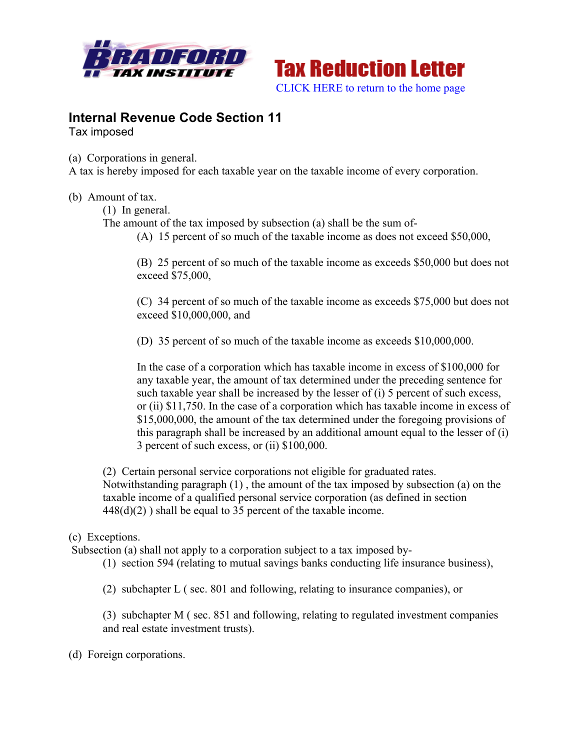



## **Internal Revenue Code Section 11** Tax imposed

(a) Corporations in general.

A tax is hereby imposed for each taxable year on the taxable income of every corporation.

(b) Amount of tax.

(1) In general.

The amount of the tax imposed by subsection (a) shall be the sum of-

(A) 15 percent of so much of the taxable income as does not exceed \$50,000,

(B) 25 percent of so much of the taxable income as exceeds \$50,000 but does not exceed \$75,000,

(C) 34 percent of so much of the taxable income as exceeds \$75,000 but does not exceed \$10,000,000, and

(D) 35 percent of so much of the taxable income as exceeds \$10,000,000.

In the case of a corporation which has taxable income in excess of \$100,000 for any taxable year, the amount of tax determined under the preceding sentence for such taxable year shall be increased by the lesser of (i) 5 percent of such excess, or (ii) \$11,750. In the case of a corporation which has taxable income in excess of \$15,000,000, the amount of the tax determined under the foregoing provisions of this paragraph shall be increased by an additional amount equal to the lesser of (i) 3 percent of such excess, or (ii) \$100,000.

(2) Certain personal service corporations not eligible for graduated rates. Notwithstanding paragraph (1) , the amount of the tax imposed by subsection (a) on the taxable income of a qualified personal service corporation (as defined in section  $448(d)(2)$ ) shall be equal to 35 percent of the taxable income.

## (c) Exceptions.

Subsection (a) shall not apply to a corporation subject to a tax imposed by-

(1) section 594 (relating to mutual savings banks conducting life insurance business),

(2) subchapter L ( sec. 801 and following, relating to insurance companies), or

(3) subchapter M ( sec. 851 and following, relating to regulated investment companies and real estate investment trusts).

(d) Foreign corporations.